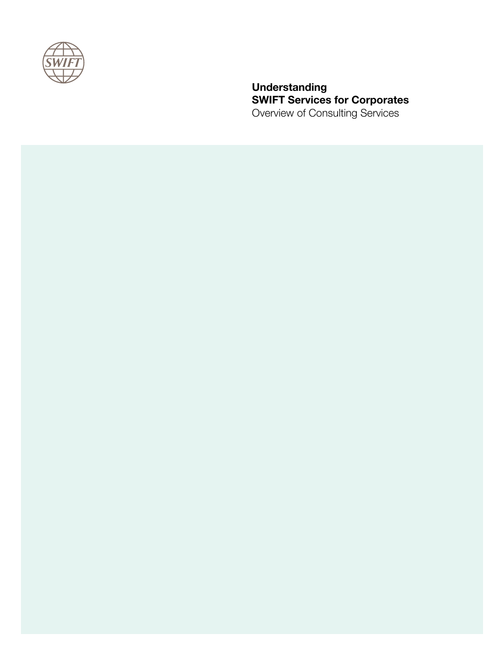

**Understanding SWIFT Services for Corporates**  Overview of Consulting Services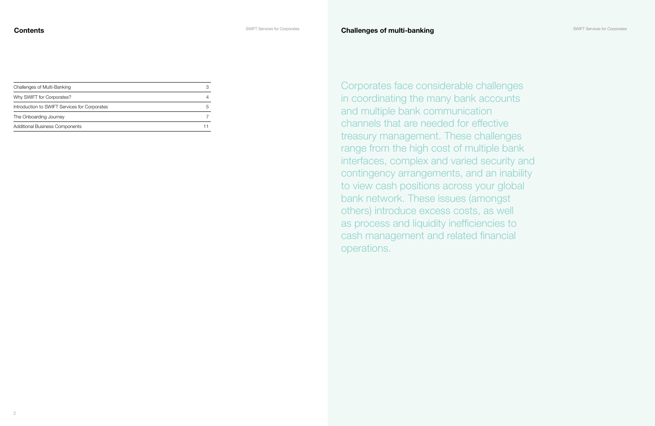| Challenges of Multi-Banking                   |    |
|-----------------------------------------------|----|
| Why SWIFT for Corporates?                     |    |
| Introduction to SWIFT Services for Corporates | .h |
| The Onboarding Journey                        |    |
| <b>Additional Business Components</b>         |    |

Corporates face considerable challenges in coordinating the many bank accounts and multiple bank communication channels that are needed for effective treasury management. These challenges range from the high cost of multiple bank interfaces, complex and varied security and contingency arrangements, and an inability to view cash positions across your global bank network. These issues (amongst others) introduce excess costs, as well as process and liquidity inefficiencies to cash management and related financial operations.

SWIFT Services for Corporates



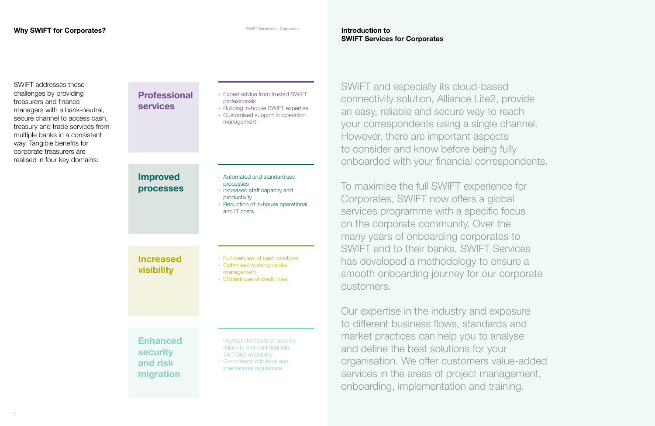# **SWIFT Services for Corporates**

| <b>Professional</b><br><b>services</b>                      | - Expert advice from trusted SWIFT<br>professionals<br>- Building in-house SWIFT expertise<br>- Customised support to operation<br>management              |
|-------------------------------------------------------------|------------------------------------------------------------------------------------------------------------------------------------------------------------|
| <b>Improved</b><br>processes                                | - Automated and standardised<br>processes<br>- Increased staff capacity and<br>productivity<br>- Reduction of in-house operational<br>and IT costs         |
| <b>Increased</b><br>visibility                              | - Full overview of cash positions<br>- Optimised working capital<br>management<br>- Efficient use of credit lines                                          |
| <b>Enhanced</b><br><b>security</b><br>and risk<br>migration | - Highest standards of security,<br>reliability and confidentiality<br>- 24/7/365 availability<br>- Compliancy with local and<br>international regulations |

SWIFT addresses these challenges by providing treasurers and finance managers with a bank-neutral, secure channel to access cash, treasury and trade services from multiple banks in a consistent way. Tangible benefits for corporate treasurers are realised in four key domains:

SWIFT and especially its cloud-based connectivity solution, Alliance Lite2, provide an easy, reliable and secure way to reach your correspondents using a single channel. However, there are important aspects to consider and know before being fully onboarded with your financial correspondents.

To maximise the full SWIFT experience for Corporates, SWIFT now offers a global services programme with a specific focus on the corporate community. Over the many years of onboarding corporates to SWIFT and to their banks, SWIFT Services has developed a methodology to ensure a smooth onboarding journey for our corporate customers.

Our expertise in the industry and exposure to different business flows, standards and market practices can help you to analyse and define the best solutions for your organisation. We offer customers value-added services in the areas of project management, onboarding, implementation and training.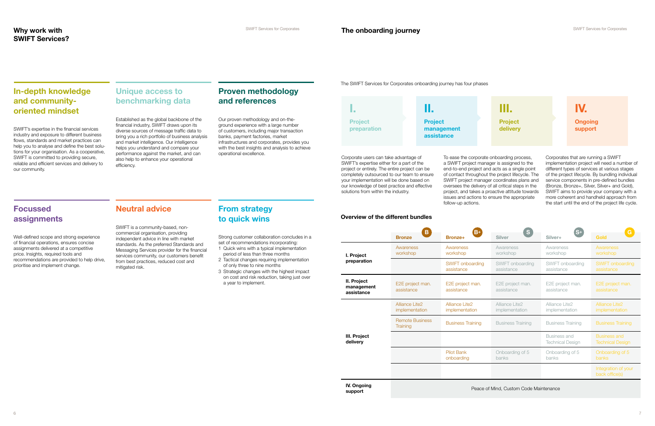# **In-depth knowledge and communityoriented mindset**

SWIFT's expertise in the financial services industry and exposure to different business flows, standards and market practices can help you to analyse and define the best solutions for your organisation. As a cooperative, SWIFT is committed to providing secure, reliable and efficient services and delivery to our community.

# **Focussed assignments**

Well-defined scope and strong experience of financial operations, ensures concise assignments delivered at a competitive price. Insights, required tools and recommendations are provided to help drive, prioritise and implement change.

# **Unique access to benchmarking data**

Established as the global backbone of the financial industry, SWIFT draws upon its diverse sources of message traffic data to bring you a rich portfolio of business analysis and market intelligence. Our intelligence helps you understand and compare your performance against the market, and can also help to enhance your operational efficiency.

# **Neutral advice**

SWIFT is a community-based, noncommercial organisation, providing independent advice in line with market standards. As the preferred Standards and Messaging Services provider for the financial services community, our customers benefit from best practices, reduced cost and mitigated risk.

# **Proven methodology and references**

Our proven methodology and on-theground experience with a large number of customers, including major transaction banks, payment factories, market infrastructures and corporates, provides you with the best insights and analysis to achieve operational excellence.

# **From strategy to quick wins**

Strong customer collaboration concludes in a set of recommendations incorporating:

- 1 Quick wins with a typical implementation period of less than three months
- 2 Tactical changes requiring implementation of only three to nine months
- 3 Strategic changes with the highest impact on cost and risk reduction, taking just over a year to implement.

Corporate users can take advantage of SWIFT's expertise either for a part of the project or entirely. The entire project can be completely outsourced to our team to ensure your implementation will be done based on our knowledge of best practice and effective solutions from within the industry.

To ease the corporate onboarding process, a SWIFT project manager is assigned to the end-to-end project and acts as a single point of contact throughout the project lifecycle. The SWIFT project manager coordinates plans and oversees the delivery of all critical steps in the project, and takes a proactive attitude towards issues and actions to ensure the appropriate follow-up actions.

Corporates that are running a SWIFT implementation project will need a number of different types of services at various stages of the project lifecycle. By bundling individual service components in pre-defined bundles (Bronze, Bronze+, Silver, Silver+ and Gold), SWIFT aims to provide your company with a more coherent and handheld approach from the start until the end of the project life cycle.

|                                         |                                           | $\mathbf B$<br>$B+$<br><sub>S</sub>          |                                                                                        |                                         |                                                |  |
|-----------------------------------------|-------------------------------------------|----------------------------------------------|----------------------------------------------------------------------------------------|-----------------------------------------|------------------------------------------------|--|
|                                         | <b>Bronze</b>                             | <b>Bronze+</b>                               | <b>Silver</b>                                                                          | Silver+                                 | <b>Gold</b>                                    |  |
| I. Project<br>preparation               | Awareness<br>workshop                     | Awareness<br>workshop                        | Awareness<br>workshop                                                                  | Awareness<br>workshop                   | Awareness<br>workshop                          |  |
|                                         |                                           | <b>SWIFT onboarding</b><br>assistance        | SWIFT onboarding<br>assistance                                                         | SWIFT onboarding<br>assistance          | SWIFT onboarding<br>assistance                 |  |
| II. Project<br>management<br>assistance | E2E project man.<br>assistance            | E2E project man.<br>assistance               | E2E project man.<br>assistance                                                         | E2E project man.<br>assistance          | E2E project man.<br>assistance                 |  |
| III. Project<br>delivery                | <b>Alliance Lite2</b><br>implementation   | Alliance Lite <sub>2</sub><br>implementation | Alliance Lite2<br>implementation                                                       | Alliance Lite2<br>implementation        | Alliance Lite <sub>2</sub><br>implementation   |  |
|                                         | <b>Remote Business</b><br><b>Training</b> | <b>Business Training</b>                     | <b>Business Training</b>                                                               | <b>Business Training</b>                | <b>Business Training</b>                       |  |
|                                         |                                           |                                              |                                                                                        | Business and<br><b>Technical Design</b> | <b>Business and</b><br><b>Technical Design</b> |  |
|                                         |                                           | <b>Pilot Bank</b><br>onboarding              | Onboarding of 5<br><b>banks</b>                                                        | Onboarding of 5<br>banks                | Onboarding of 5<br>banks                       |  |
|                                         |                                           |                                              |                                                                                        |                                         | Integration of your<br>back office(s)          |  |
| IV. Ongoing                             |                                           |                                              | $D_{\text{max}} = f M_{\text{max}} + D_{\text{max}} + D_{\text{max}} + D_{\text{max}}$ |                                         |                                                |  |

### **Overview of the different bundles**





The SWIFT Services for Corporates onboarding journey has four phases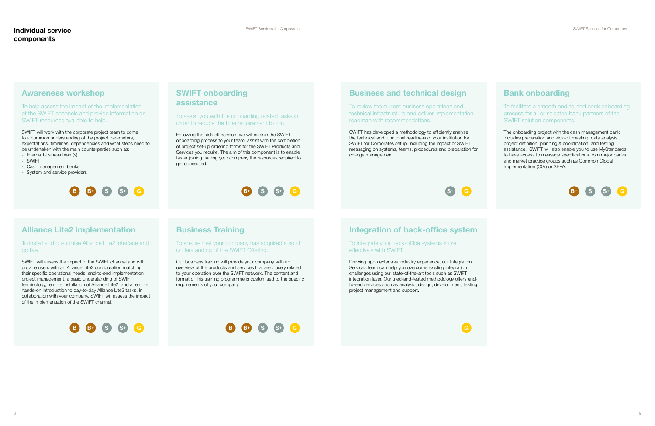# **Business and technical design**

To review the current business operations and technical infrastructure and deliver implementation roadmap with recommendations.

SWIFT has developed a methodology to efficiently analyse the technical and functional readiness of your institution for SWIFT for Corporates setup, including the impact of SWIFT messaging on systems, teams, procedures and preparation for change management.



# **Awareness workshop**

To help assess the impact of the implementation of the SWIFT channels and provide information on SWIFT resources available to help.

SWIFT will work with the corporate project team to come to a common understanding of the project parameters, expectations, timelines, dependencies and what steps need to be undertaken with the main counterparties such as:

- Internal business team(s)
- SWIFT
- Cash management banks
- System and service providers

# **Integration of back-office system**

To integrate your back-office systems more effectively with SWIFT.

Drawing upon extensive industry experience, our Integration Services team can help you overcome existing integration challenges using our state-of-the-art tools such as SWIFT integration layer. Our tried-and-tested methodology offers endto-end services such as analysis, design, development, testing, project management and support.

# **Alliance Lite2 implementation**

### To install and customise Alliance Lite2 interface and go live.

SWIFT will assess the impact of the SWIFT channel and will provide users with an Alliance Lite2 configuration matching their specific operational needs, end-to-end implementation project management, a basic understanding of SWIFT terminology, remote installation of Alliance Lite2, and a remote hands-on introduction to day-to-day Alliance Lite2 tasks. In collaboration with your company, SWIFT will assess the impact of the implementation of the SWIFT channel.

# **Bank onboarding**

To facilitate a smooth end-to-end bank onboarding process for all or selected bank partners of the SWIFT solution components.

The onboarding project with the cash management bank includes preparation and kick-off meeting, data analysis, project definition, planning & coordination, and testing assistance. SWIFT will also enable you to use MyStandards to have access to message specifications from major banks and market practice groups such as Common Global Implementation (CGI) or SEPA.

# **SWIFT onboarding assistance**

To assist you with the onboarding related tasks in order to reduce the time requirement to join.

Following the kick-off session, we will explain the SWIFT onboarding process to your team, assist with the completion of project set-up ordering forms for the SWIFT Products and Services you require. The aim of this component is to enable faster joining, saving your company the resources required to get connected.

# **Business Training**

To ensure that your company has acquired a solid understanding of the SWIFT Offering.

Our business training will provide your company with an overview of the products and services that are closely related to your operation over the SWIFT network. The content and format of this training programme is customised to the specific requirements of your company.

# **B S B+**







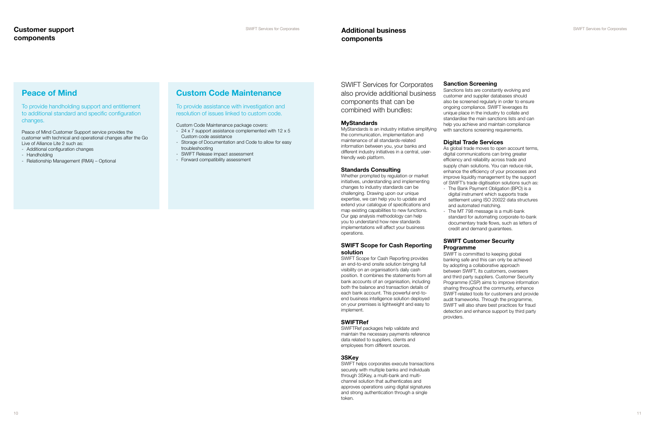# **Peace of Mind**

To provide handholding support and entitlement to additional standard and specific configuration changes.

Peace of Mind Customer Support service provides the customer with technical and operational changes after the Go Live of Alliance Lite 2 such as:

- Additional configuration changes
- Handholding
- Relationship Management (RMA) Optional

## **Custom Code Maintenance**

To provide assistance with investigation and resolution of issues linked to custom code.

### Custom Code Maintenance package covers:

- 24 x 7 support assistance complemented with 12 x 5 Custom code assistance
- Storage of Documentation and Code to allow for easy troubleshooting
- SWIFT Release impact assessment
- Forward compatibility assessment

### SWIFT Services for Corporates also provide additional business components that can be combined with bundles:

### **MyStandards**

MyStandards is an industry initiative simplifying the communication, implementation and maintenance of all standards-related information between you, your banks and different industry initiatives in a central, userfriendly web platform.

### **Standards Consulting**

Whether prompted by regulation or market initiatives, understanding and implementing changes to industry standards can be challenging. Drawing upon our unique expertise, we can help you to update and extend your catalogue of specifications and map existing capabilities to new functions. Our gap analysis methodology can help you to understand how new standards implementations will affect your business operations.

### **SWIFT Scope for Cash Reporting solution**

SWIFT Scope for Cash Reporting provides an end-to-end onsite solution bringing full visibility on an organisation's daily cash position. It combines the statements from all bank accounts of an organisation, including both the balance and transaction details of each bank account. This powerful end-toend business intelligence solution deployed on your premises is lightweight and easy to implement.

### **SWIFTRef**

SWIFTRef packages help validate and maintain the necessary payments reference data related to suppliers, clients and employees from different sources.

### **3SKey**

SWIFT helps corporates execute transactions securely with multiple banks and individuals through 3SKey, a multi-bank and multichannel solution that authenticates and approves operations using digital signatures and strong authentication through a single token.

### **Sanction Screening**

Sanctions lists are constantly evolving and customer and supplier databases should also be screened regularly in order to ensure ongoing compliance. SWIFT leverages its unique place in the industry to collate and standardise the main sanctions lists and can help you achieve and maintain compliance with sanctions screening requirements.

### **Digital Trade Services**

As global trade moves to open account terms, digital communications can bring greater efficiency and reliability across trade and supply chain solutions. You can reduce risk, enhance the efficiency of your processes and improve liquidity management by the support of SWIFT's trade digitisation solutions such as:

- The Bank Payment Obligation (BPO) is a digital instrument which supports trade settlement using ISO 20022 data structures and automated matching.
- The MT 798 message is a multi-bank standard for automating corporate-to-bank documentary trade flows, such as letters of credit and demand guarantees.

### **SWIFT Customer Security Programme**

SWIFT is committed to keeping global banking safe and this can only be achieved by adopting a collaborative approach between SWIFT, its customers, overseers and third party suppliers. Customer Security Programme (CSP) aims to improve information sharing throughout the community, enhance SWIFT-related tools for customers and provide audit frameworks. Through the programme, SWIFT will also share best practices for fraud detection and enhance support by third party providers.